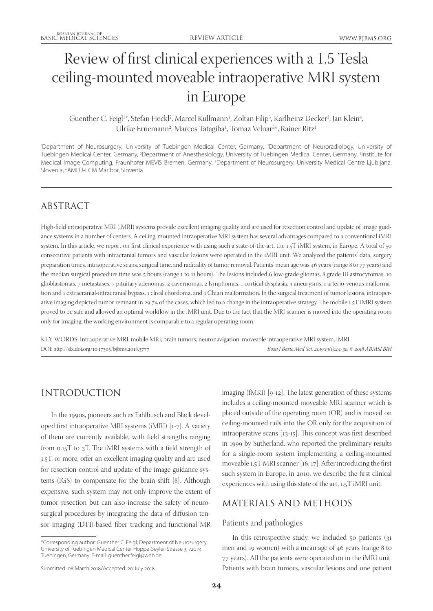# Review of first clinical experiences with a 1.5 Tesla ceiling-mounted moveable intraoperative MRI system in Europe

 $G$ uenther C. Feigl $^{\text{1*}},$  Stefan Heckl $^{\text{2}}$ , Marcel Kullmann $^{\text{1}}$ , Zoltan Filip $^{\text{3}}$ , Karlheinz Decker $^{\text{3}}$ , Jan Klein $^{\text{4}}$ , Ulrike Ernemann<sup>2</sup>, Marcos Tatagiba<sup>1</sup>, Tomaz Velnar<sup>5,6</sup>, Rainer Ritz<sup>1</sup>

'Department of Neurosurgery, University of Tuebingen Medical Center, Germany, <sup>2</sup>Department of Neuroradiology, University of Tuebingen Medical Center, Germany, <sup>3</sup>Department of Anesthesiology, University of Tuebingen Medical Center, Germany, <sup>4</sup>Institute for Medical Image Computing, Fraunhofer MEVIS Bremen, Germany, <sup>5</sup>Department of Neurosurgery, University Medical Centre Ljubljana, Slovenia, 6 AMEU-ECM Maribor, Slovenia

# ABSTRACT

High-field intraoperative MRI (iMRI) systems provide excellent imaging quality and are used for resection control and update of image guidance systems in a number of centers. A ceiling-mounted intraoperative MRI system has several advantages compared to a conventional iMRI system. In this article, we report on first clinical experience with using such a state-of-the-art, the 1.5T iMRI system, in Europe. A total of 50 consecutive patients with intracranial tumors and vascular lesions were operated in the iMRI unit. We analyzed the patients' data, surgery preparation times, intraoperative scans, surgical time, and radicality of tumor removal. Patients' mean age was 46 years (range 8 to 77 years) and the median surgical procedure time was 5 hours (range 1 to 11 hours). The lesions included 6 low-grade gliomas, 8 grade III astrocytomas, 10 glioblastomas, 7 metastases, 7 pituitary adenomas, 2 cavernomas, 2 lymphomas, 1 cortical dysplasia, 3 aneurysms, 1 arterio-venous malformation and 1 extracranial-intracranial bypass, 1 clival chordoma, and 1 Chiari malformation. In the surgical treatment of tumor lesions, intraoperative imaging depicted tumor remnant in 29.7% of the cases, which led to a change in the intraoperative strategy. The mobile 1.5T iMRI system proved to be safe and allowed an optimal workflow in the iMRI unit. Due to the fact that the MRI scanner is moved into the operating room only for imaging, the working environment is comparable to a regular operating room.

KEY WORDS: Intraoperative MRI; mobile MRI; brain tumors; neuronavigation; moveable intraoperative MRI system; iMRI DOI: http://dx.doi.org/10.17305/bjbms.2018.3777 *Bosn J Basic Med Sci. 2019;19(1):24-30. © 2018 ABMSFBIH*

# INTRODUCTION

In the 1990s, pioneers such as Fahlbusch and Black developed first intraoperative MRI systems (iMRI) [1-7]. A variety of them are currently available, with field strengths ranging from 0.15T to 3T. The iMRI systems with a field strength of 1.5T, or more, offer an excellent imaging quality and are used for resection control and update of the image guidance systems (IGS) to compensate for the brain shift [8]. Although expensive, such system may not only improve the extent of tumor resection but can also increase the safety of neurosurgical procedures by integrating the data of diffusion tensor imaging (DTI)-based fiber tracking and functional MR

imaging (fMRI) [9-12]. The latest generation of these systems includes a ceiling-mounted moveable MRI scanner which is placed outside of the operating room (OR) and is moved on ceiling-mounted rails into the OR only for the acquisition of intraoperative scans [13-15]. This concept was first described in 1999 by Sutherland, who reported the preliminary results for a single-room system implementing a ceiling-mounted moveable 1.5T MRI scanner [16, 17]. After introducing the first such system in Europe, in 2010, we describe the first clinical experiences with using this state of the art, 1.5T iMRI unit.

# MATERIALS AND METHODS

### Patients and pathologies

In this retrospective study, we included 50 patients (31 men and 19 women) with a mean age of 46 years (range 8 to 77 years). All the patients were operated on in the iMRI unit. Patients with brain tumors, vascular lesions and one patient

<sup>\*</sup>Corresponding author: Guenther C. Feigl, Department of Neurosurgery, University of Tuebingen Medical Center Hoppe-Seyler-Strasse 3, 72074 Tuebingen, Germany. E-mail: guenther.feigl@web.de

Submitted: 08 March 2018/Accepted: 20 July 2018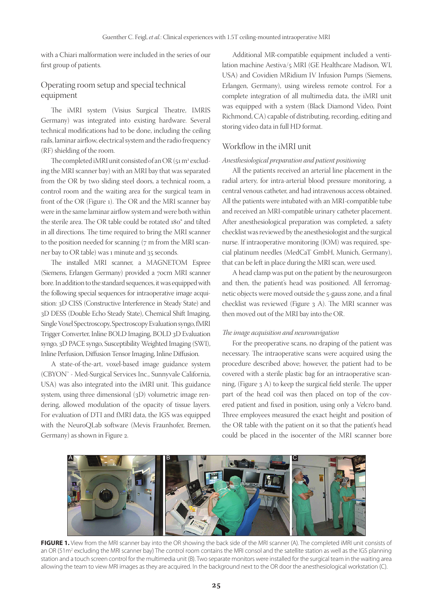with a Chiari malformation were included in the series of our first group of patients.

# Operating room setup and special technical equipment

The iMRI system (Visius Surgical Theatre, IMRIS Germany) was integrated into existing hardware. Several technical modifications had to be done, including the ceiling rails, laminar airflow, electrical system and the radio frequency (RF) shielding of the room.

The completed iMRI unit consisted of an OR (51  $\mathrm{m}^{\mathrm{2}}$  excluding the MRI scanner bay) with an MRI bay that was separated from the OR by two sliding steel doors, a technical room, a control room and the waiting area for the surgical team in front of the OR (Figure 1). The OR and the MRI scanner bay were in the same laminar airflow system and were both within the sterile area. The OR table could be rotated 180° and tilted in all directions. The time required to bring the MRI scanner to the position needed for scanning (7 m from the MRI scanner bay to OR table) was 1 minute and 35 seconds.

The installed MRI scanner, a MAGNETOM Espree (Siemens, Erlangen Germany) provided a 70cm MRI scanner bore. In addition to the standard sequences, it was equipped with the following special sequences for intraoperative image acquisition: 3D CISS (Constructive Interference in Steady State) and 3D DESS (Double Echo Steady State), Chemical Shift Imaging, Single Voxel Spectroscopy, Spectroscopy Evaluation syngo, fMRI Trigger Converter, Inline BOLD Imaging, BOLD 3D Evaluation syngo, 3D PACE syngo, Susceptibility Weighted Imaging (SWI), Inline Perfusion, Diffusion Tensor Imaging, Inline Diffusion.

A state-of-the-art, voxel-based image guidance system (CBYON™ - Med-Surgical Services Inc., Sunnyvale California, USA) was also integrated into the iMRI unit. This guidance system, using three dimensional (3D) volumetric image rendering, allowed modulation of the opacity of tissue layers. For evaluation of DTI and fMRI data, the IGS was equipped with the NeuroQLab software (Mevis Fraunhofer, Bremen, Germany) as shown in Figure 2.

Additional MR-compatible equipment included a ventilation machine Aestiva/5 MRI (GE Healthcare Madison, WI, USA) and Covidien MRidium IV Infusion Pumps (Siemens, Erlangen, Germany), using wireless remote control. For a complete integration of all multimedia data, the iMRI unit was equipped with a system (Black Diamond Video, Point Richmond, CA) capable of distributing, recording, editing and storing video data in full HD format.

## Workflow in the iMRI unit

#### *Anesthesiological preparation and patient positioning*

All the patients received an arterial line placement in the radial artery, for intra-arterial blood pressure monitoring, a central venous catheter, and had intravenous access obtained. All the patients were intubated with an MRI-compatible tube and received an MRI-compatible urinary catheter placement. After anesthesiological preparation was completed, a safety checklist was reviewed by the anesthesiologist and the surgical nurse. If intraoperative monitoring (IOM) was required, special platinum needles (MedCaT GmbH, Munich, Germany), that can be left in place during the MRI scan, were used.

A head clamp was put on the patient by the neurosurgeon and then, the patient's head was positioned. All ferromagnetic objects were moved outside the 5-gauss zone, and a final checklist was reviewed (Figure 3 A). The MRI scanner was then moved out of the MRI bay into the OR.

#### *The image acquisition and neuronavigation*

For the preoperative scans, no draping of the patient was necessary. The intraoperative scans were acquired using the procedure described above; however, the patient had to be covered with a sterile plastic bag for an intraoperative scanning, (Figure 3 A) to keep the surgical field sterile. The upper part of the head coil was then placed on top of the covered patient and fixed in position, using only a Velcro band. Three employees measured the exact height and position of the OR table with the patient on it so that the patient's head could be placed in the isocenter of the MRI scanner bore



**FIGURE 1.** View from the MRI scanner bay into the OR showing the back side of the MRI scanner (A). The completed iMRI unit consists of an OR (51m<sup>2</sup> excluding the MRI scanner bay) The control room contains the MRI consol and the satellite station as well as the IGS planning station and a touch screen control for the multimedia unit (B). Two separate monitors were installed for the surgical team in the waiting area allowing the team to view MRI images as they are acquired. In the background next to the OR door the anesthesiological workstation (C).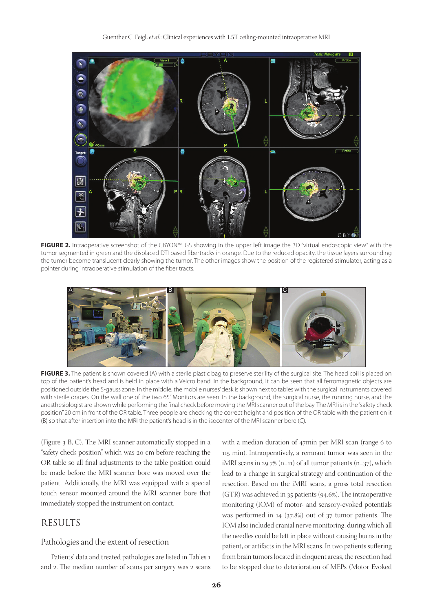

**FIGURE 2.** Intraoperative screenshot of the CBYON™ IGS showing in the upper left image the 3D "virtual endoscopic view" with the tumor segmented in green and the displaced DTI based fibertracks in orange. Due to the reduced opacity, the tissue layers surrounding the tumor become translucent clearly showing the tumor. The other images show the position of the registered stimulator, acting as a pointer during intraoperative stimulation of the fiber tracts.



**FIGURE 3.** The patient is shown covered (A) with a sterile plastic bag to preserve sterility of the surgical site. The head coil is placed on top of the patient's head and is held in place with a Velcro band. In the background, it can be seen that all ferromagnetic objects are positioned outside the 5-gauss zone. In the middle, the mobile nurses' desk is shown next to tables with the surgical instruments covered with sterile drapes. On the wall one of the two 65" Monitors are seen. In the background, the surgical nurse, the running nurse, and the anesthesiologist are shown while performing the final check before moving the MRI scanner out of the bay. The MRI is in the "safety check position" 20 cm in front of the OR table. Three people are checking the correct height and position of the OR table with the patient on it (B) so that after insertion into the MRI the patient's head is in the isocenter of the MRI scanner bore (C).

(Figure 3 B, C). The MRI scanner automatically stopped in a "safety check position", which was 20 cm before reaching the OR table so all final adjustments to the table position could be made before the MRI scanner bore was moved over the patient. Additionally, the MRI was equipped with a special touch sensor mounted around the MRI scanner bore that immediately stopped the instrument on contact.

# RESULTS

#### Pathologies and the extent of resection

Patients' data and treated pathologies are listed in Tables 1 and 2. The median number of scans per surgery was 2 scans with a median duration of 47min per MRI scan (range 6 to 115 min). Intraoperatively, a remnant tumor was seen in the iMRI scans in 29.7% (n=11) of all tumor patients (n=37), which lead to a change in surgical strategy and continuation of the resection. Based on the iMRI scans, a gross total resection (GTR) was achieved in 35 patients (94.6%). The intraoperative monitoring (IOM) of motor- and sensory-evoked potentials was performed in 14 (37.8%) out of 37 tumor patients. The IOM also included cranial nerve monitoring, during which all the needles could be left in place without causing burns in the patient, or artifacts in the MRI scans. In two patients suffering from brain tumors located in eloquent areas, the resection had to be stopped due to deterioration of MEPs (Motor Evoked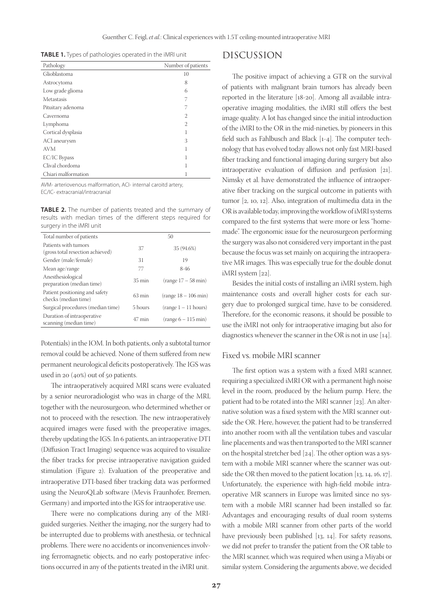**TABLE 1.** Types of pathologies operated in the iMRI unit

| Pathology           | Number of patients |
|---------------------|--------------------|
| Glioblastoma        | 10                 |
| Astrocytoma         | 8                  |
| Low grade glioma    | 6                  |
| Metastasis          | 7                  |
| Pituitary adenoma   | 7                  |
| Cavernoma           | 2                  |
| Lymphoma            | 2                  |
| Cortical dysplasia  | 1                  |
| ACI aneurysm        | 3                  |
| <b>AVM</b>          | 1                  |
| EC/IC Bypass        | 1                  |
| Clival chordoma     | 1                  |
| Chiari malformation |                    |

AVM- arteriovenous malformation, ACI- internal caroitd artery, EC/IC- extracranial/intracranial

**TABLE 2.** The number of patients treated and the summary of results with median times of the different steps required for surgery in the iMRI unit

| Total number of patients                                 |                  | 50                     |
|----------------------------------------------------------|------------------|------------------------|
| Patients with tumors<br>(gross total resection achieved) | 37               | 35 (94.6%)             |
| Gender (male/female)                                     | 31               | 19                     |
| Mean age/range                                           | 77               | $8-46$                 |
| Anesthesiological<br>preparation (median time)           | $35 \text{ min}$ | $(range 17 - 58 min)$  |
| Patient positioning and safety<br>checks (median time)   | $63 \text{ min}$ | $(range 18 - 106 min)$ |
| Surgical procedures (median time)                        | 5 hours          | (range 1 – 11 hours)   |
| Duration of intraoperative<br>scanning (median time)     | $47 \text{ min}$ | $(range 6 - 115 min)$  |

Potentials) in the IOM. In both patients, only a subtotal tumor removal could be achieved. None of them suffered from new permanent neurological deficits postoperatively. The IGS was used in 20 (40%) out of 50 patients.

The intraoperatively acquired MRI scans were evaluated by a senior neuroradiologist who was in charge of the MRI, together with the neurosurgeon, who determined whether or not to proceed with the resection. The new intraoperatively acquired images were fused with the preoperative images, thereby updating the IGS. In 6 patients, an intraoperative DTI (Diffusion Tract Imaging) sequence was acquired to visualize the fiber tracks for precise intraoperative navigation guided stimulation (Figure 2). Evaluation of the preoperative and intraoperative DTI-based fiber tracking data was performed using the NeuroQLab software (Mevis Fraunhofer, Bremen, Germany) and imported into the IGS for intraoperative use.

There were no complications during any of the MRIguided surgeries. Neither the imaging, nor the surgery had to be interrupted due to problems with anesthesia, or technical problems. There were no accidents or inconveniences involving ferromagnetic objects, and no early postoperative infections occurred in any of the patients treated in the iMRI unit.

# DISCUSSION

The positive impact of achieving a GTR on the survival of patients with malignant brain tumors has already been reported in the literature [18-20]. Among all available intraoperative imaging modalities, the iMRI still offers the best image quality. A lot has changed since the initial introduction of the iMRI to the OR in the mid-nineties, by pioneers in this field such as Fahlbusch and Black [1-4]. The computer technology that has evolved today allows not only fast MRI-based fiber tracking and functional imaging during surgery but also intraoperative evaluation of diffusion and perfusion [21]. Nimsky et al. have demonstrated the influence of intraoperative fiber tracking on the surgical outcome in patients with tumor [2, 10, 12]. Also, integration of multimedia data in the OR is available today, improving the workflow of iMRI systems compared to the first systems that were more or less "homemade". The ergonomic issue for the neurosurgeon performing the surgery was also not considered very important in the past because the focus was set mainly on acquiring the intraoperative MR images. This was especially true for the double donut iMRI system [22].

Besides the initial costs of installing an iMRI system, high maintenance costs and overall higher costs for each surgery due to prolonged surgical time, have to be considered. Therefore, for the economic reasons, it should be possible to use the iMRI not only for intraoperative imaging but also for diagnostics whenever the scanner in the OR is not in use [14].

#### Fixed vs. mobile MRI scanner

The first option was a system with a fixed MRI scanner, requiring a specialized iMRI OR with a permanent high noise level in the room, produced by the helium pump. Here, the patient had to be rotated into the MRI scanner [23]. An alternative solution was a fixed system with the MRI scanner outside the OR. Here, however, the patient had to be transferred into another room with all the ventilation tubes and vascular line placements and was then transported to the MRI scanner on the hospital stretcher bed [24]. The other option was a system with a mobile MRI scanner where the scanner was outside the OR then moved to the patient location [13, 14, 16, 17]. Unfortunately, the experience with high-field mobile intraoperative MR scanners in Europe was limited since no system with a mobile MRI scanner had been installed so far. Advantages and encouraging results of dual room systems with a mobile MRI scanner from other parts of the world have previously been published [13, 14]. For safety reasons, we did not prefer to transfer the patient from the OR table to the MRI scanner, which was required when using a Miyabi or similar system. Considering the arguments above, we decided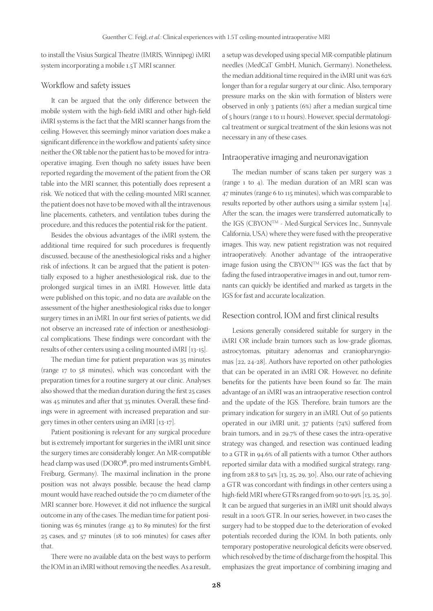to install the Visius Surgical Theatre (IMRIS, Winnipeg) iMRI system incorporating a mobile 1.5T MRI scanner.

#### Workflow and safety issues

It can be argued that the only difference between the mobile system with the high-field iMRI and other high-field iMRI systems is the fact that the MRI scanner hangs from the ceiling. However, this seemingly minor variation does make a significant difference in the workflow and patients' safety since neither the OR table nor the patient has to be moved for intraoperative imaging. Even though no safety issues have been reported regarding the movement of the patient from the OR table into the MRI scanner, this potentially does represent a risk. We noticed that with the ceiling-mounted MRI scanner, the patient does not have to be moved with all the intravenous line placements, catheters, and ventilation tubes during the procedure, and this reduces the potential risk for the patient.

Besides the obvious advantages of the iMRI system, the additional time required for such procedures is frequently discussed, because of the anesthesiological risks and a higher risk of infections. It can be argued that the patient is potentially exposed to a higher anesthesiological risk, due to the prolonged surgical times in an iMRI. However, little data were published on this topic, and no data are available on the assessment of the higher anesthesiological risks due to longer surgery times in an iMRI. In our first series of patients, we did not observe an increased rate of infection or anesthesiological complications. These findings were concordant with the results of other centers using a ceiling mounted iMRI [13-15].

The median time for patient preparation was 35 minutes (range 17 to 58 minutes), which was concordant with the preparation times for a routine surgery at our clinic. Analyses also showed that the median duration during the first 25 cases was 45 minutes and after that 35 minutes. Overall, these findings were in agreement with increased preparation and surgery times in other centers using an iMRI [13-17].

Patient positioning is relevant for any surgical procedure but is extremely important for surgeries in the iMRI unit since the surgery times are considerably longer. An MR-compatible head clamp was used (DORO®, pro med instruments GmbH, Freiburg, Germany). The maximal inclination in the prone position was not always possible, because the head clamp mount would have reached outside the 70 cm diameter of the MRI scanner bore. However, it did not influence the surgical outcome in any of the cases. The median time for patient positioning was 65 minutes (range 43 to 89 minutes) for the first 25 cases, and 57 minutes (18 to 106 minutes) for cases after that.

There were no available data on the best ways to perform the IOM in an iMRI without removing the needles. As a result, a setup was developed using special MR-compatible platinum needles (MedCaT GmbH, Munich, Germany). Nonetheless, the median additional time required in the iMRI unit was 62% longer than for a regular surgery at our clinic. Also, temporary pressure marks on the skin with formation of blisters were observed in only 3 patients (6%) after a median surgical time of 5 hours (range 1 to 11 hours). However, special dermatological treatment or surgical treatment of the skin lesions was not necessary in any of these cases.

#### Intraoperative imaging and neuronavigation

The median number of scans taken per surgery was 2 (range 1 to 4). The median duration of an MRI scan was 47 minutes (range 6 to 115 minutes), which was comparable to results reported by other authors using a similar system [14]. After the scan, the images were transferred automatically to the IGS (CBYONTM - Med-Surgical Services Inc., Sunnyvale California, USA) where they were fused with the preoperative images. This way, new patient registration was not required intraoperatively. Another advantage of the intraoperative image fusion using the CBYONTM IGS was the fact that by fading the fused intraoperative images in and out, tumor remnants can quickly be identified and marked as targets in the IGS for fast and accurate localization.

#### Resection control, IOM and first clinical results

Lesions generally considered suitable for surgery in the iMRI OR include brain tumors such as low-grade gliomas, astrocytomas, pituitary adenomas and craniopharyngiomas [22, 24-28]. Authors have reported on other pathologies that can be operated in an iMRI OR. However, no definite benefits for the patients have been found so far. The main advantage of an iMRI was an intraoperative resection control and the update of the IGS. Therefore, brain tumors are the primary indication for surgery in an iMRI. Out of 50 patients operated in our iMRI unit, 37 patients (74%) suffered from brain tumors, and in 29.7% of these cases the intra-operative strategy was changed, and resection was continued leading to a GTR in 94.6% of all patients with a tumor. Other authors reported similar data with a modified surgical strategy, ranging from 28.8 to 54% [13, 25, 29, 30]. Also, our rate of achieving a GTR was concordant with findings in other centers using a high-field MRI where GTRs ranged from 90 to 99% [13, 25, 30]. It can be argued that surgeries in an iMRI unit should always result in a 100% GTR. In our series, however, in two cases the surgery had to be stopped due to the deterioration of evoked potentials recorded during the IOM. In both patients, only temporary postoperative neurological deficits were observed, which resolved by the time of discharge from the hospital. This emphasizes the great importance of combining imaging and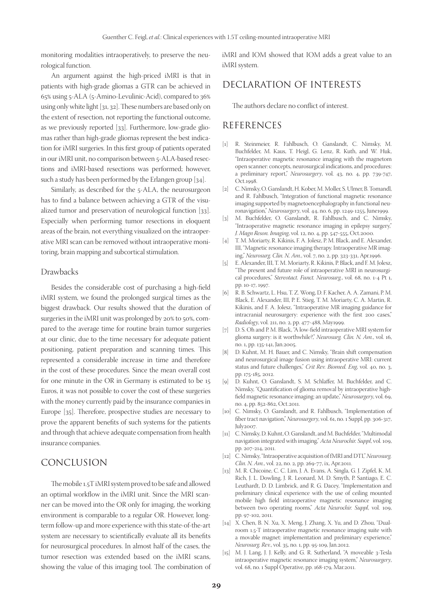monitoring modalities intraoperatively, to preserve the neurological function.

An argument against the high-priced iMRI is that in patients with high-grade gliomas a GTR can be achieved in 65% using 5-ALA (5-Amino-Levulinic-Acid), compared to 36% using only white light [31, 32]. These numbers are based only on the extent of resection, not reporting the functional outcome, as we previously reported [33]. Furthermore, low-grade gliomas rather than high-grade gliomas represent the best indication for iMRI surgeries. In this first group of patients operated in our iMRI unit, no comparison between 5-ALA-based resections and iMRI-based resections was performed; however, such a study has been performed by the Erlangen group [34].

Similarly, as described for the 5-ALA, the neurosurgeon has to find a balance between achieving a GTR of the visualized tumor and preservation of neurological function [33]. Especially when performing tumor resections in eloquent areas of the brain, not everything visualized on the intraoperative MRI scan can be removed without intraoperative monitoring, brain mapping and subcortical stimulation.

#### Drawbacks

Besides the considerable cost of purchasing a high-field iMRI system, we found the prolonged surgical times as the biggest drawback. Our results showed that the duration of surgeries in the iMRI unit was prolonged by 20% to 50%, compared to the average time for routine brain tumor surgeries at our clinic, due to the time necessary for adequate patient positioning, patient preparation and scanning times. This represented a considerable increase in time and therefore in the cost of these procedures. Since the mean overall cost for one minute in the OR in Germany is estimated to be 15 Euros, it was not possible to cover the cost of these surgeries with the money currently paid by the insurance companies in Europe [35]. Therefore, prospective studies are necessary to prove the apparent benefits of such systems for the patients and through that achieve adequate compensation from health insurance companies.

## CONCLUSION

The mobile 1.5T iMRI system proved to be safe and allowed an optimal workflow in the iMRI unit. Since the MRI scanner can be moved into the OR only for imaging, the working environment is comparable to a regular OR. However, longterm follow-up and more experience with this state-of-the-art system are necessary to scientifically evaluate all its benefits for neurosurgical procedures. In almost half of the cases, the tumor resection was extended based on the iMRI scans, showing the value of this imaging tool. The combination of iMRI and IOM showed that IOM adds a great value to an iMRI system.

# DECLARATION OF INTERESTS

The authors declare no conflict of interest.

# REFERENCES

- [1] R. Steinmeier, R. Fahlbusch, O. Ganslandt, C. Nimsky, M. Buchfelder, M. Kaus, T. Heigl, G. Lenz, R. Kuth, and W. Huk, "Intraoperative magnetic resonance imaging with the magnetom open scanner: concepts, neurosurgical indications, and procedures: a preliminary report," *Neurosurgery*, vol. 43, no. 4, pp. 739-747, Oct.1998
- [2] C. Nimsky, O. Ganslandt, H. Kober, M. Moller, S. Ulmer, B. Tomandl, and R. Fahlbusch, "Integration of functional magnetic resonance imaging supported by magnetoencephalography in functional neuronavigation," *Neurosurgery*, vol. 44, no. 6, pp. 1249-1255, June1999.
- [3] M. Buchfelder, O. Ganslandt, R. Fahlbusch, and C. Nimsky, "Intraoperative magnetic resonance imaging in epilepsy surgery," *J. Magn Reson. Imaging*, vol. 12, no. 4, pp. 547-555, Oct.2000.
- [4] T. M. Moriarty, R. Kikinis, F. A. Jolesz, P. M. Black, and E. Alexander, III, "Magnetic resonance imaging therapy. Intraoperative MR imaging," *Neurosurg. Clin. N. Am.*, vol. 7, no. 2, pp. 323-331, Apr.1996.
- [5] E. Alexander, III, T. M. Moriarty, R. Kikinis, P. Black, and F. M. Jolesz, "The present and future role of intraoperative MRI in neurosurgical procedures," *Stereotact. Funct. Neurosurg.*, vol. 68, no. 1-4 Pt 1, pp. 10-17, 1997.
- [6] R. B. Schwartz, L. Hsu, T. Z. Wong, D. F. Kacher, A. A. Zamani, P. M. Black, E. Alexander, III, P. E. Stieg, T. M. Moriarty, C. A. Martin, R. Kikinis, and F. A. Jolesz, "Intraoperative MR imaging guidance for intracranial neurosurgery: experience with the first 200 cases," *Radiology*, vol. 211, no. 2, pp. 477-488, May1999.
- [7] D. S. Oh and P. M. Black, "A low-field intraoperative MRI system for glioma surgery: is it worthwhile?," *Neurosurg. Clin. N. Am.*, vol. 16, no. 1, pp. 135-141, Jan.2005.
- [8] D. Kuhnt, M. H. Bauer, and C. Nimsky, "Brain shift compensation and neurosurgical image fusion using intraoperative MRI: current status and future challenges," *Crit Rev. Biomed. Eng*, vol. 40, no. 3, pp. 175-185, 2012.
- [9] D. Kuhnt, O. Ganslandt, S. M. Schlaffer, M. Buchfelder, and C. Nimsky, "Quantification of glioma removal by intraoperative highfield magnetic resonance imaging: an update," *Neurosurgery*, vol. 69, no. 4, pp. 852-862, Oct.2011.
- [10] C. Nimsky, O. Ganslandt, and R. Fahlbusch, "Implementation of fiber tract navigation," *Neurosurgery*, vol. 61, no. 1 Suppl, pp. 306-317, July2007.
- [11] C. Nimsky, D. Kuhnt, O. Ganslandt, and M. Buchfelder, "Multimodal navigation integrated with imaging," *Acta Neurochir. Suppl*, vol. 109, pp. 207-214, 2011.
- [12] C. Nimsky, "Intraoperative acquisition of fMRI and DTI," *Neurosurg. Clin. N. Am.*, vol. 22, no. 2, pp. 269-77, ix, Apr.2011.
- [13] M. R. Chicoine, C. C. Lim, J. A. Evans, A. Singla, G. J. Zipfel, K. M. Rich, J. L. Dowling, J. R. Leonard, M. D. Smyth, P. Santiago, E. C. Leuthardt, D. D. Limbrick, and R. G. Dacey, "Implementation and preliminary clinical experience with the use of ceiling mounted mobile high field intraoperative magnetic resonance imaging between two operating rooms," *Acta Neurochir. Suppl*, vol. 109, pp. 97-102, 2011.
- [14] X. Chen, B. N. Xu, X. Meng, J. Zhang, X. Yu, and D. Zhou, "Dualroom 1.5-T intraoperative magnetic resonance imaging suite with a movable magnet: implementation and preliminary experience," *Neurosurg. Rev.*, vol. 35, no. 1, pp. 95-109, Jan.2012.
- [15] M. J. Lang, J. J. Kelly, and G. R. Sutherland, "A moveable 3-Tesla intraoperative magnetic resonance imaging system," *Neurosurgery*, vol. 68, no. 1 Suppl Operative, pp. 168-179, Mar.2011.